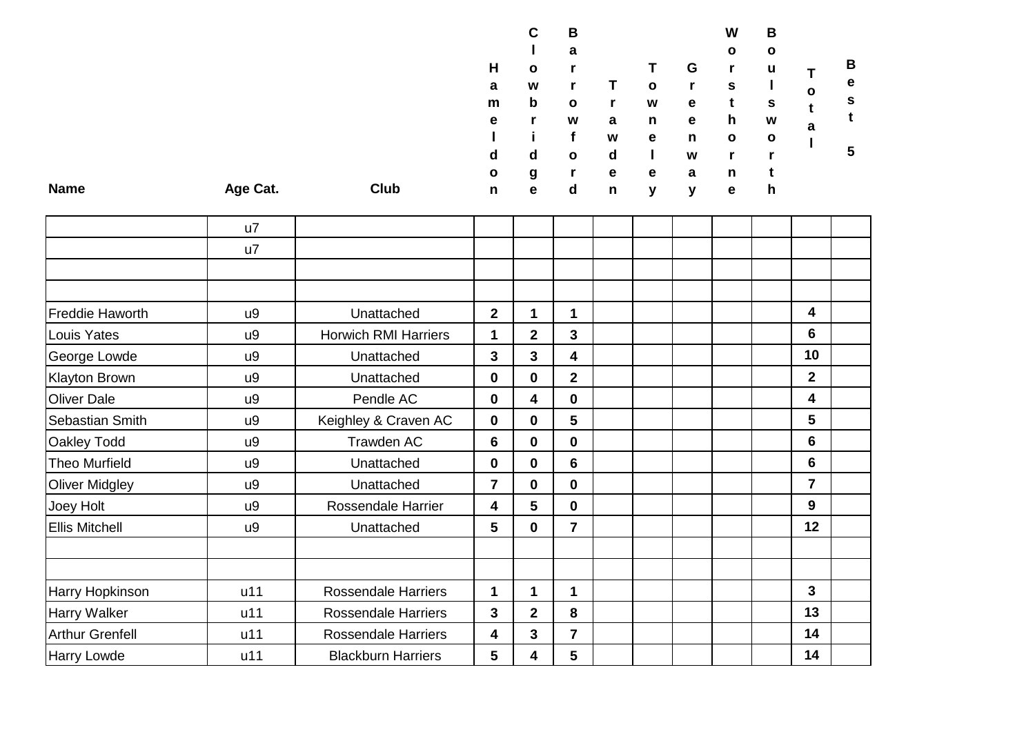|             |          |      |              | C            | В            |   |    |   | W            | B            |              |   |
|-------------|----------|------|--------------|--------------|--------------|---|----|---|--------------|--------------|--------------|---|
|             |          |      |              |              | a            |   |    |   | $\mathbf{o}$ | $\mathbf{o}$ |              |   |
|             |          |      | H            | $\mathbf{o}$ |              |   | T. | G |              | u            |              | B |
|             |          |      | a            | W            |              |   | O  |   | s            |              | $\mathbf{o}$ | e |
|             |          |      | m            | $\mathbf b$  | $\mathbf{o}$ |   | W  | e |              | s            |              | s |
|             |          |      | е            |              | W            | a | n  | e | <b>h</b>     | W            | a            |   |
|             |          |      |              |              |              | W | е  | n | $\mathbf{o}$ | $\mathbf{o}$ |              |   |
|             |          |      | d            | d            | $\mathbf{o}$ | d |    | W |              |              |              | 5 |
|             |          |      | $\mathbf{o}$ | g            | Г            | e | е  | a | n            |              |              |   |
| <b>Name</b> | Age Cat. | Club | n            | е            | d            | n | v  | v | e            | n            |              |   |

|                        | u7  |                             |                         |                         |                |  |  |                |  |
|------------------------|-----|-----------------------------|-------------------------|-------------------------|----------------|--|--|----------------|--|
|                        | u7  |                             |                         |                         |                |  |  |                |  |
|                        |     |                             |                         |                         |                |  |  |                |  |
|                        |     |                             |                         |                         |                |  |  |                |  |
| Freddie Haworth        | u9  | Unattached                  | $\mathbf{2}$            | 1                       | $\mathbf{1}$   |  |  | 4              |  |
| Louis Yates            | u9  | <b>Horwich RMI Harriers</b> | 1                       | $\overline{\mathbf{2}}$ | 3              |  |  | 6              |  |
| George Lowde           | u9  | Unattached                  | $\mathbf{3}$            | 3                       | 4              |  |  | 10             |  |
| <b>Klayton Brown</b>   | u9  | Unattached                  | $\mathbf 0$             | $\mathbf 0$             | $\overline{2}$ |  |  | $\overline{2}$ |  |
| <b>Oliver Dale</b>     | u9  | Pendle AC                   | $\mathbf 0$             | 4                       | $\mathbf{0}$   |  |  | 4              |  |
| Sebastian Smith        | u9  | Keighley & Craven AC        | $\mathbf 0$             | $\mathbf 0$             | 5              |  |  | 5              |  |
| <b>Oakley Todd</b>     | u9  | Trawden AC                  | 6                       | $\mathbf 0$             | 0              |  |  | 6              |  |
| <b>Theo Murfield</b>   | u9  | Unattached                  | $\mathbf 0$             | $\mathbf 0$             | 6              |  |  | 6              |  |
| <b>Oliver Midgley</b>  | u9  | Unattached                  | $\overline{7}$          | $\mathbf 0$             | 0              |  |  | $\overline{7}$ |  |
| Joey Holt              | u9  | <b>Rossendale Harrier</b>   | 4                       | 5                       | 0              |  |  | 9              |  |
| <b>Ellis Mitchell</b>  | u9  | Unattached                  | $5\phantom{1}$          | $\mathbf 0$             | $\overline{7}$ |  |  | 12             |  |
|                        |     |                             |                         |                         |                |  |  |                |  |
|                        |     |                             |                         |                         |                |  |  |                |  |
| Harry Hopkinson        | u11 | <b>Rossendale Harriers</b>  | 1                       | 1                       | 1              |  |  | 3              |  |
| Harry Walker           | u11 | <b>Rossendale Harriers</b>  | $\mathbf{3}$            | $\mathbf 2$             | 8              |  |  | 13             |  |
| <b>Arthur Grenfell</b> | u11 | <b>Rossendale Harriers</b>  | $\overline{\mathbf{4}}$ | 3                       | $\overline{7}$ |  |  | 14             |  |
| <b>Harry Lowde</b>     | u11 | <b>Blackburn Harriers</b>   | $5\phantom{1}$          | 4                       | 5              |  |  | 14             |  |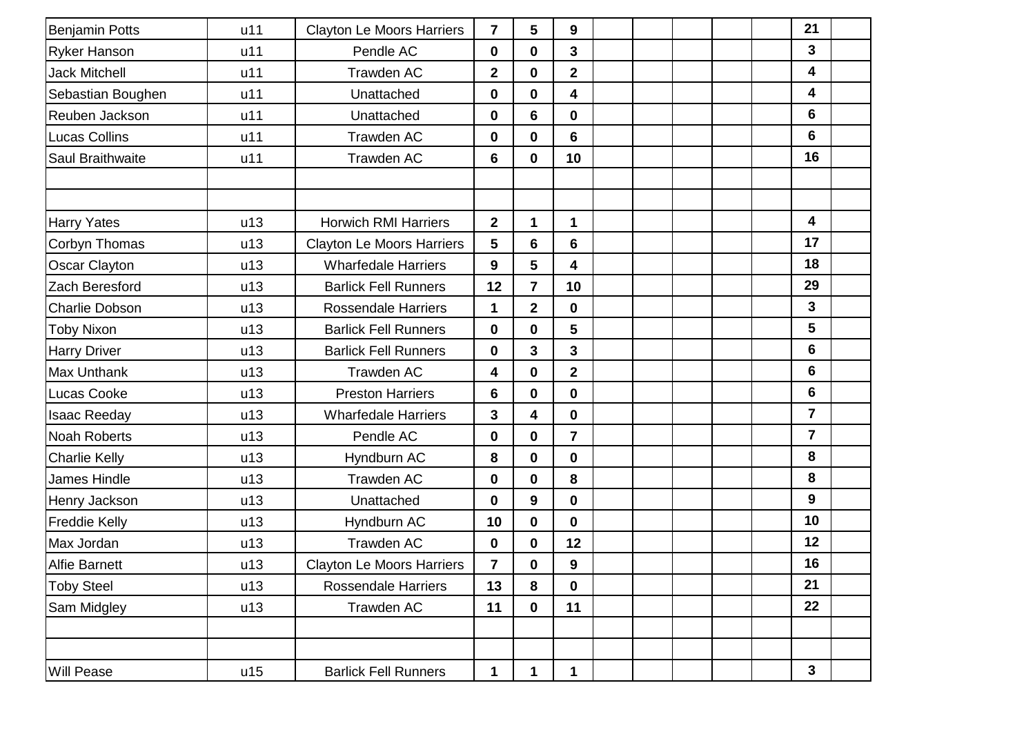| <b>Benjamin Potts</b>   | u11 | <b>Clayton Le Moors Harriers</b> | $\overline{\mathbf{7}}$ | 5                       | 9                       |  |  | 21               |  |
|-------------------------|-----|----------------------------------|-------------------------|-------------------------|-------------------------|--|--|------------------|--|
| <b>Ryker Hanson</b>     | u11 | Pendle AC                        | 0                       | $\mathbf 0$             | 3                       |  |  | $\mathbf{3}$     |  |
| <b>Jack Mitchell</b>    | u11 | Trawden AC                       | $\mathbf 2$             | $\pmb{0}$               | $\mathbf{2}$            |  |  | 4                |  |
| Sebastian Boughen       | u11 | Unattached                       | $\bf{0}$                | $\pmb{0}$               | 4                       |  |  | 4                |  |
| Reuben Jackson          | u11 | Unattached                       | $\bf{0}$                | $6\phantom{a}$          | $\mathbf 0$             |  |  | $6\phantom{1}$   |  |
| Lucas Collins           | u11 | Trawden AC                       | $\bf{0}$                | $\mathbf 0$             | 6                       |  |  | $6\phantom{1}$   |  |
| <b>Saul Braithwaite</b> | u11 | Trawden AC                       | 6                       | $\mathbf 0$             | 10                      |  |  | 16               |  |
|                         |     |                                  |                         |                         |                         |  |  |                  |  |
|                         |     |                                  |                         |                         |                         |  |  |                  |  |
| <b>Harry Yates</b>      | u13 | <b>Horwich RMI Harriers</b>      | $\overline{\mathbf{2}}$ | 1                       | $\mathbf{1}$            |  |  | 4                |  |
| Corbyn Thomas           | u13 | <b>Clayton Le Moors Harriers</b> | 5                       | $6\phantom{1}$          | 6                       |  |  | 17               |  |
| Oscar Clayton           | u13 | <b>Wharfedale Harriers</b>       | 9                       | $5\phantom{1}$          | 4                       |  |  | 18               |  |
| Zach Beresford          | u13 | <b>Barlick Fell Runners</b>      | 12                      | $\overline{7}$          | 10                      |  |  | 29               |  |
| <b>Charlie Dobson</b>   | u13 | <b>Rossendale Harriers</b>       | 1                       | $\overline{2}$          | $\mathbf 0$             |  |  | $\overline{3}$   |  |
| <b>Toby Nixon</b>       | u13 | <b>Barlick Fell Runners</b>      | $\bf{0}$                | $\mathbf 0$             | 5                       |  |  | 5                |  |
| <b>Harry Driver</b>     | u13 | <b>Barlick Fell Runners</b>      | $\bf{0}$                | $\overline{\mathbf{3}}$ | 3                       |  |  | $6\phantom{1}$   |  |
| <b>Max Unthank</b>      | u13 | <b>Trawden AC</b>                | 4                       | $\pmb{0}$               | $\overline{\mathbf{2}}$ |  |  | $6\phantom{1}$   |  |
| Lucas Cooke             | u13 | <b>Preston Harriers</b>          | 6                       | $\pmb{0}$               | $\mathbf 0$             |  |  | $6\phantom{1}$   |  |
| <b>Isaac Reeday</b>     | u13 | <b>Wharfedale Harriers</b>       | $\overline{\mathbf{3}}$ | $\overline{\mathbf{4}}$ | $\mathbf 0$             |  |  | $\overline{7}$   |  |
| <b>Noah Roberts</b>     | u13 | Pendle AC                        | $\mathbf 0$             | $\mathbf 0$             | $\overline{7}$          |  |  | $\overline{7}$   |  |
| <b>Charlie Kelly</b>    | u13 | Hyndburn AC                      | 8                       | $\mathbf 0$             | $\mathbf 0$             |  |  | 8                |  |
| James Hindle            | u13 | Trawden AC                       | 0                       | $\pmb{0}$               | 8                       |  |  | 8                |  |
| Henry Jackson           | u13 | Unattached                       | 0                       | $\boldsymbol{9}$        | $\mathbf 0$             |  |  | $\boldsymbol{9}$ |  |
| <b>Freddie Kelly</b>    | u13 | Hyndburn AC                      | 10                      | $\pmb{0}$               | $\mathbf 0$             |  |  | 10               |  |
| Max Jordan              | u13 | Trawden AC                       | $\bf{0}$                | $\mathbf 0$             | 12                      |  |  | 12               |  |
| <b>Alfie Barnett</b>    | u13 | <b>Clayton Le Moors Harriers</b> | $\overline{7}$          | $\mathbf 0$             | 9                       |  |  | 16               |  |
| <b>Toby Steel</b>       | u13 | <b>Rossendale Harriers</b>       | 13                      | 8                       | $\mathbf 0$             |  |  | 21               |  |
| Sam Midgley             | u13 | Trawden AC                       | 11                      | $\mathbf 0$             | 11                      |  |  | 22               |  |
|                         |     |                                  |                         |                         |                         |  |  |                  |  |
|                         |     |                                  |                         |                         |                         |  |  |                  |  |
| <b>Will Pease</b>       | u15 | <b>Barlick Fell Runners</b>      | 1                       | 1                       | 1                       |  |  | $\mathbf{3}$     |  |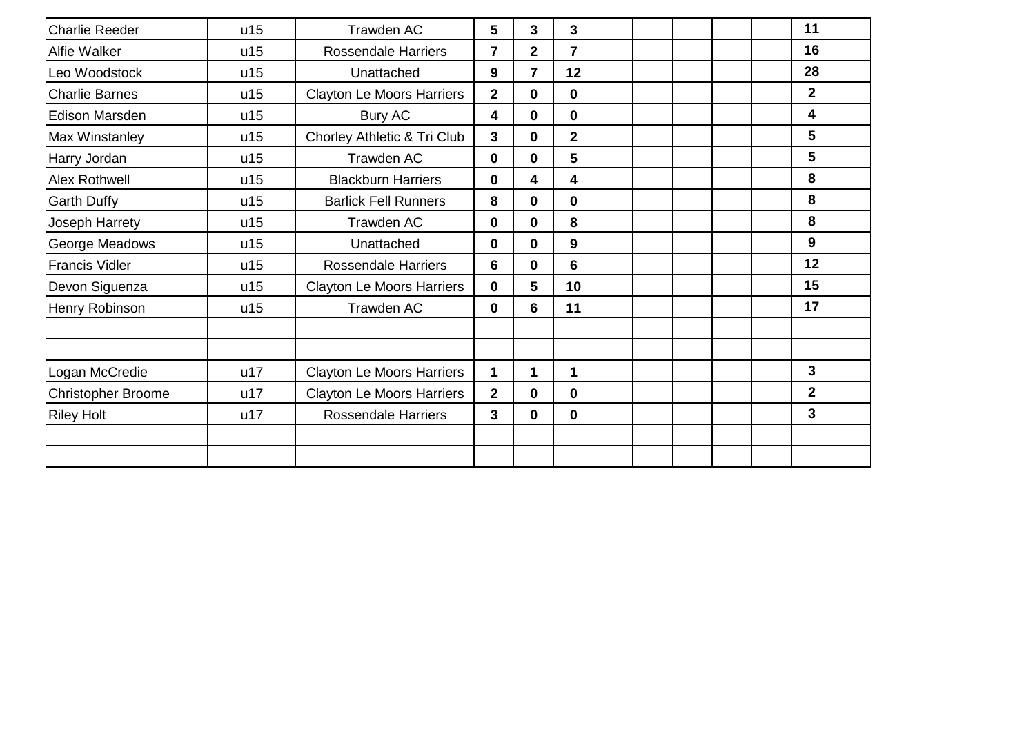| <b>Charlie Reeder</b>     | u15 | Trawden AC                       | $5\phantom{1}$          | 3                       | 3              |  |  | 11             |  |
|---------------------------|-----|----------------------------------|-------------------------|-------------------------|----------------|--|--|----------------|--|
| Alfie Walker              | u15 | <b>Rossendale Harriers</b>       | 7                       | $\overline{\mathbf{2}}$ | $\overline{7}$ |  |  | 16             |  |
| Leo Woodstock             | u15 | Unattached                       | 9                       | $\overline{7}$          | 12             |  |  | 28             |  |
| <b>Charlie Barnes</b>     | u15 | <b>Clayton Le Moors Harriers</b> | $\overline{\mathbf{2}}$ | $\bf{0}$                | 0              |  |  | $\overline{2}$ |  |
| <b>Edison Marsden</b>     | u15 | <b>Bury AC</b>                   | 4                       | $\mathbf 0$             | 0              |  |  | 4              |  |
| Max Winstanley            | u15 | Chorley Athletic & Tri Club      | $\mathbf{3}$            | $\mathbf 0$             | $\overline{2}$ |  |  | 5              |  |
| Harry Jordan              | u15 | Trawden AC                       | $\mathbf 0$             | $\bf{0}$                | 5              |  |  | 5              |  |
| Alex Rothwell             | u15 | <b>Blackburn Harriers</b>        | 0                       | 4                       | 4              |  |  | 8              |  |
| <b>Garth Duffy</b>        | u15 | <b>Barlick Fell Runners</b>      | 8                       | $\mathbf 0$             | 0              |  |  | 8              |  |
| Joseph Harrety            | u15 | Trawden AC                       | $\mathbf 0$             | $\mathbf 0$             | 8              |  |  | 8              |  |
| George Meadows            | u15 | Unattached                       | $\mathbf 0$             | $\mathbf 0$             | 9              |  |  | 9              |  |
| <b>Francis Vidler</b>     | u15 | <b>Rossendale Harriers</b>       | 6                       | $\mathbf 0$             | 6              |  |  | 12             |  |
| Devon Siguenza            | u15 | <b>Clayton Le Moors Harriers</b> | $\mathbf 0$             | 5                       | 10             |  |  | 15             |  |
| Henry Robinson            | u15 | <b>Trawden AC</b>                | $\mathbf 0$             | $6\phantom{1}$          | 11             |  |  | 17             |  |
|                           |     |                                  |                         |                         |                |  |  |                |  |
|                           |     |                                  |                         |                         |                |  |  |                |  |
| Logan McCredie            | u17 | <b>Clayton Le Moors Harriers</b> | 1                       | 1                       | 1              |  |  | 3              |  |
| <b>Christopher Broome</b> | u17 | <b>Clayton Le Moors Harriers</b> | $\overline{2}$          | $\mathbf 0$             | 0              |  |  | $\overline{2}$ |  |
| <b>Riley Holt</b>         | u17 | <b>Rossendale Harriers</b>       | 3                       | $\mathbf 0$             | 0              |  |  | 3              |  |
|                           |     |                                  |                         |                         |                |  |  |                |  |
|                           |     |                                  |                         |                         |                |  |  |                |  |
|                           |     |                                  |                         |                         |                |  |  |                |  |